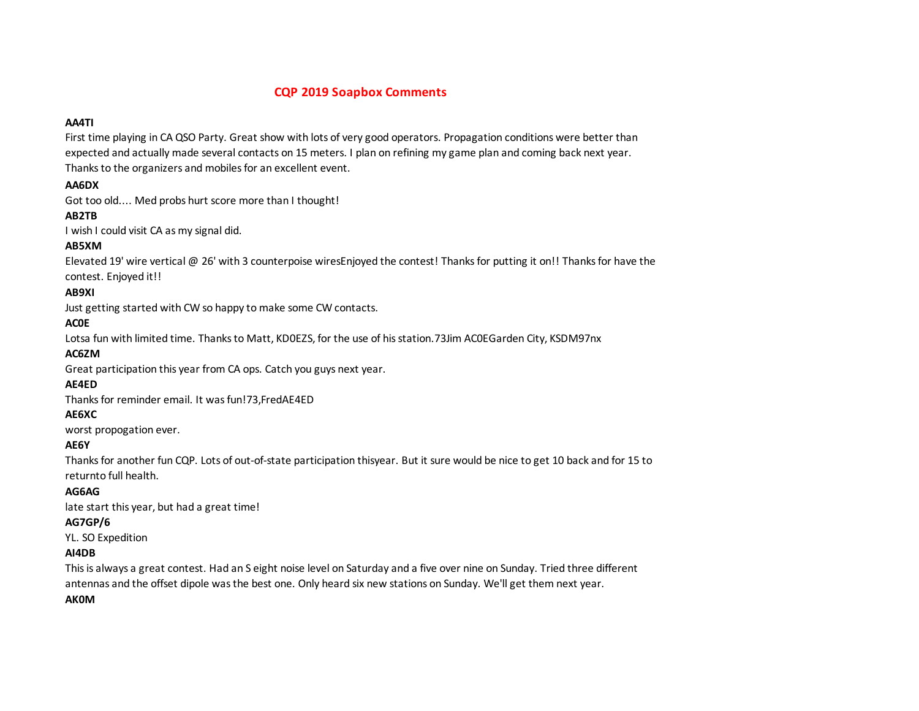## **CQP 2019 Soapbox Comments**

#### **AA4TI**

First time playing in CA QSO Party. Great show with lots of very good operators. Propagation conditions were better than expected and actually made several contacts on 15 meters. I plan on refining my game plan and coming back next year. Thanks to the organizers and mobiles for an excellent event.

#### **AA6DX**

Got too old.... Med probs hurt score more than I thought!

## **AB2TB**

I wish I could visit CA as my signal did.

## **AB5XM**

Elevated 19' wire vertical @ 26' with 3 counterpoise wiresEnjoyed the contest! Thanks for putting it on!! Thanks for have the contest. Enjoyed it!!

## **AB9XI**

Just getting started with CW so happy to make some CW contacts.

## **AC0E**

Lotsa fun with limited time. Thanks to Matt, KD0EZS, for the use of his station.73Jim AC0EGarden City, KSDM97nx

#### **AC6ZM**

Great participation this year from CA ops. Catch you guys next year.

## **AE4ED**

Thanks for reminder email. It was fun!73,FredAE4ED

#### **AE6XC**

worst propogation ever.

#### **AE6Y**

Thanks for another fun CQP. Lots of out-of-state participation thisyear. But it sure would be nice to get 10 back and for 15 to returnto full health.

#### **AG6AG**

late start this year, but had a great time!

## **AG7GP/6**

YL. SO Expedition

#### **AI4DB**

This is always a great contest. Had an S eight noise level on Saturday and a five over nine on Sunday. Tried three different antennas and the offset dipole was the best one. Only heard six new stations on Sunday. We'll get them next year.

#### **AK0M**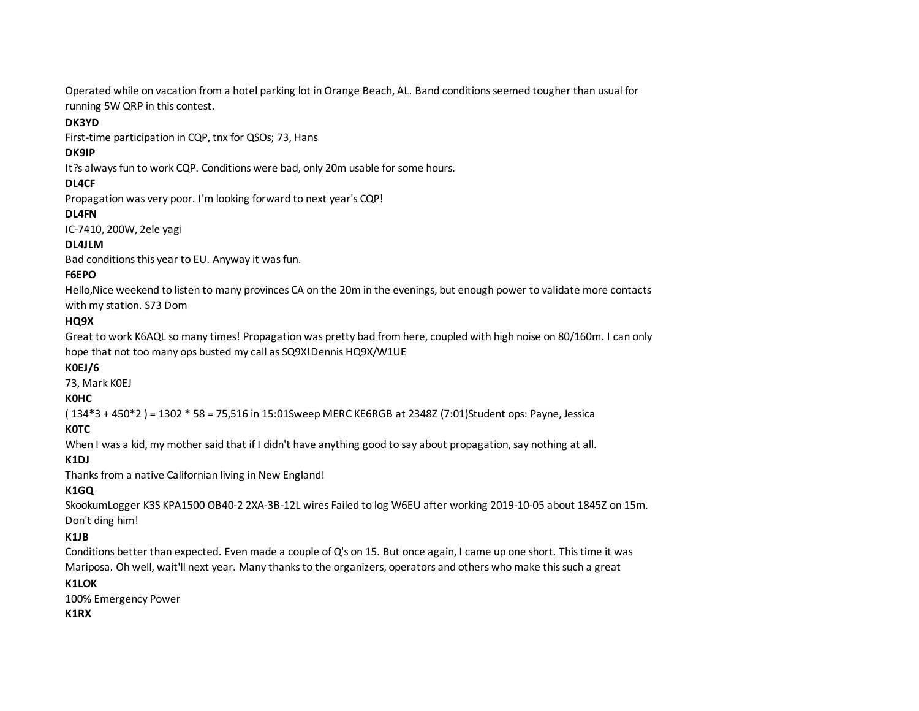Operated while on vacation from a hotel parking lot in Orange Beach, AL. Band conditions seemed tougher than usual for running 5W QRP in this contest.

#### **DK3YD**

First-time participation in CQP, tnx for QSOs; 73, Hans

#### **DK9IP**

It?s always fun to work CQP. Conditions were bad, only 20m usable for some hours.

## **DL4CF**

Propagation was very poor. I'm looking forward to next year's CQP!

## **DL4FN**

IC-7410, 200W, 2ele yagi

## **DL4JLM**

Bad conditions this year to EU. Anyway it was fun.

## **F6EPO**

Hello,Nice weekend to listen to many provinces CA on the 20m in the evenings, but enough power to validate more contacts with my station. S73 Dom

## **HQ9X**

Great to work K6AQL so many times! Propagation was pretty bad from here, coupled with high noise on 80/160m. I can only hope that not too many ops busted my call as SQ9X!Dennis HQ9X/W1UE

## **K0EJ/6**

73, Mark K0EJ

#### **K0HC**

( 134\*3 + 450\*2 ) = 1302 \* 58 = 75,516 in 15:01Sweep MERC KE6RGB at 2348Z (7:01)Student ops: Payne, Jessica

## **K0TC**

When I was a kid, my mother said that if I didn't have anything good to say about propagation, say nothing at all.

## **K1DJ**

Thanks from a native Californian living in New England!

# **K1GQ**

SkookumLogger K3S KPA1500 OB40-2 2XA-3B-12L wires Failed to log W6EU after working 2019-10-05 about 1845Z on 15m. Don't ding him!

## **K1JB**

Conditions better than expected. Even made a couple of Q's on 15. But once again, I came up one short. This time it was Mariposa. Oh well, wait'll next year. Many thanks to the organizers, operators and others who make this such a great

#### K1LOK

100% Emergency Power

## **K1RX**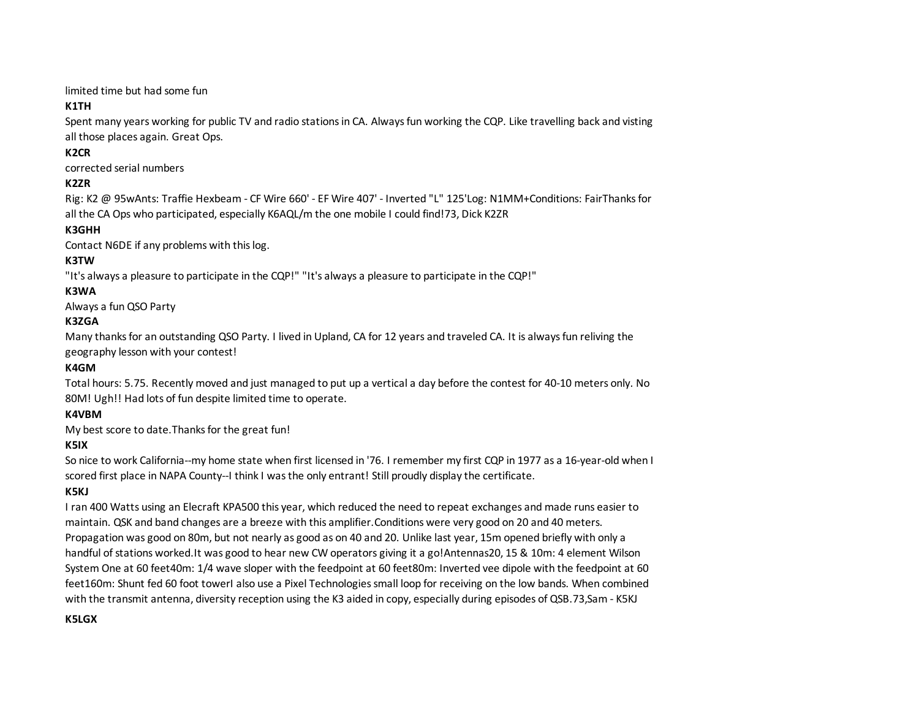limited time but had some fun

# **K1TH**

Spent many years working for public TV and radio stations in CA. Always fun working the CQP. Like travelling back and visting all those places again. Great Ops.

# **K2CR**

corrected serial numbers

# **K2ZR**

Rig: K2 @ 95wAnts: Traffie Hexbeam - CF Wire 660' - EF Wire 407' - Inverted "L" 125'Log: N1MM+Conditions: FairThanks for all the CA Ops who participated, especially K6AQL/m the one mobile I could find!73, Dick K2ZR

## **K3GHH**

Contact N6DE if any problems with this log.

# **K3TW**

"It's always a pleasure to participate in the CQP!" "It's always a pleasure to participate in the CQP!"

## **K3WA**

Always a fun QSO Party

## **K3ZGA**

Many thanks for an outstanding QSO Party. I lived in Upland, CA for 12 years and traveled CA. It is always fun reliving the geography lesson with your contest!

## **K4GM**

Total hours: 5.75. Recently moved and just managed to put up a vertical a day before the contest for 40-10 meters only. No 80M! Ugh!! Had lots of fun despite limited time to operate.

#### **K4VBM**

My best score to date.Thanks for the great fun!

## **K5IX**

So nice to work California--my home state when first licensed in '76. I remember my first CQP in 1977 as a 16-year-old when I scored first place in NAPA County--I think I was the only entrant! Still proudly display the certificate.

## **K5KJ**

I ran 400 Watts using an Elecraft KPA500 this year, which reduced the need to repeat exchanges and made runs easier to maintain. QSK and band changes are a breeze with this amplifier.Conditions were very good on 20 and 40 meters. Propagation was good on 80m, but not nearly as good as on 40 and 20. Unlike last year, 15m opened briefly with only a handful of stations worked.It was good to hear new CW operators giving it a go!Antennas20, 15 & 10m: 4 element Wilson System One at 60 feet40m: 1/4 wave sloper with the feedpoint at 60 feet80m: Inverted vee dipole with the feedpoint at 60 feet160m: Shunt fed 60 foot towerI also use a Pixel Technologies small loop for receiving on the low bands. When combined with the transmit antenna, diversity reception using the K3 aided in copy, especially during episodes of QSB.73,Sam - K5KJ

#### **K5LGX**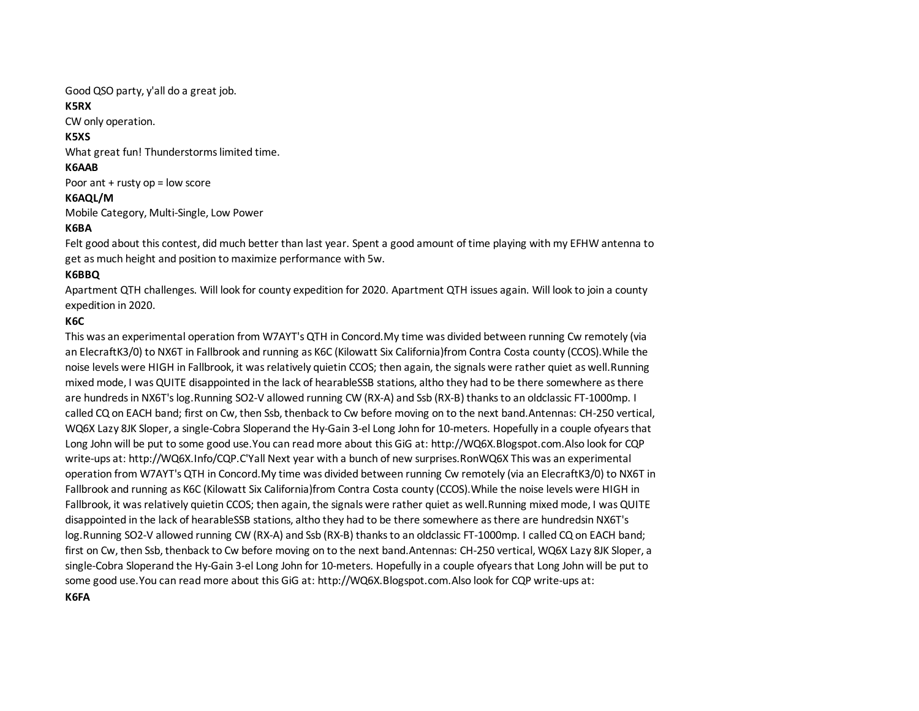Good QSO party, y'all do a great job.

#### **K5RX**

CW only operation.

## **K5XS**

What great fun! Thunderstorms limited time.

## **K6AAB**

Poor ant + rusty op = low score

## **K6AQL/M**

Mobile Category, Multi-Single, Low Power

## **K6BA**

Felt good about this contest, did much better than last year. Spent a good amount of time playing with my EFHW antenna to get as much height and position to maximize performance with 5w.

# **K6BBQ**

Apartment QTH challenges. Will look for county expedition for 2020. Apartment QTH issues again. Will look to join a county expedition in 2020.

# **K6C**

This was an experimental operation from W7AYT's QTH in Concord.My time was divided between running Cw remotely (via an ElecraftK3/0) to NX6T in Fallbrook and running as K6C (Kilowatt Six California)from Contra Costa county (CCOS).While the noise levels were HIGH in Fallbrook, it was relatively quietin CCOS; then again, the signals were rather quiet as well.Running mixed mode, I was QUITE disappointed in the lack of hearableSSB stations, altho they had to be there somewhere as there are hundreds in NX6T's log.Running SO2-V allowed running CW (RX-A) and Ssb (RX-B) thanks to an oldclassic FT-1000mp. I called CQ on EACH band; first on Cw, then Ssb, thenback to Cw before moving on to the next band.Antennas: CH-250 vertical, WQ6X Lazy 8JK Sloper, a single-Cobra Sloperand the Hy-Gain 3-el Long John for 10-meters. Hopefully in a couple ofyears that Long John will be put to some good use.You can read more about this GiG at: http://WQ6X.Blogspot.com.Also look for CQP write-ups at: http://WQ6X.Info/CQP.C'Yall Next year with a bunch of new surprises.RonWQ6X This was an experimental operation from W7AYT's QTH in Concord.My time was divided between running Cw remotely (via an ElecraftK3/0) to NX6T in Fallbrook and running as K6C (Kilowatt Six California)from Contra Costa county (CCOS).While the noise levels were HIGH in Fallbrook, it was relatively quietin CCOS; then again, the signals were rather quiet as well.Running mixed mode, I was QUITE disappointed in the lack of hearableSSB stations, altho they had to be there somewhere as there are hundredsin NX6T's log. Running SO2-V allowed running CW (RX-A) and Ssb (RX-B) thanks to an oldclassic FT-1000mp. I called CQ on EACH band; first on Cw, then Ssb, thenback to Cw before moving on to the next band.Antennas: CH-250 vertical, WQ6X Lazy 8JK Sloper, a single-Cobra Sloperand the Hy-Gain 3-el Long John for 10-meters. Hopefully in a couple ofyears that Long John will be put to some good use.You can read more about this GiG at: http://WQ6X.Blogspot.com.Also look for CQP write-ups at: http://WQ6X.Info/CQP.C'Yall Next year with a bunch of new surprises.RonWQ6X **K6FA**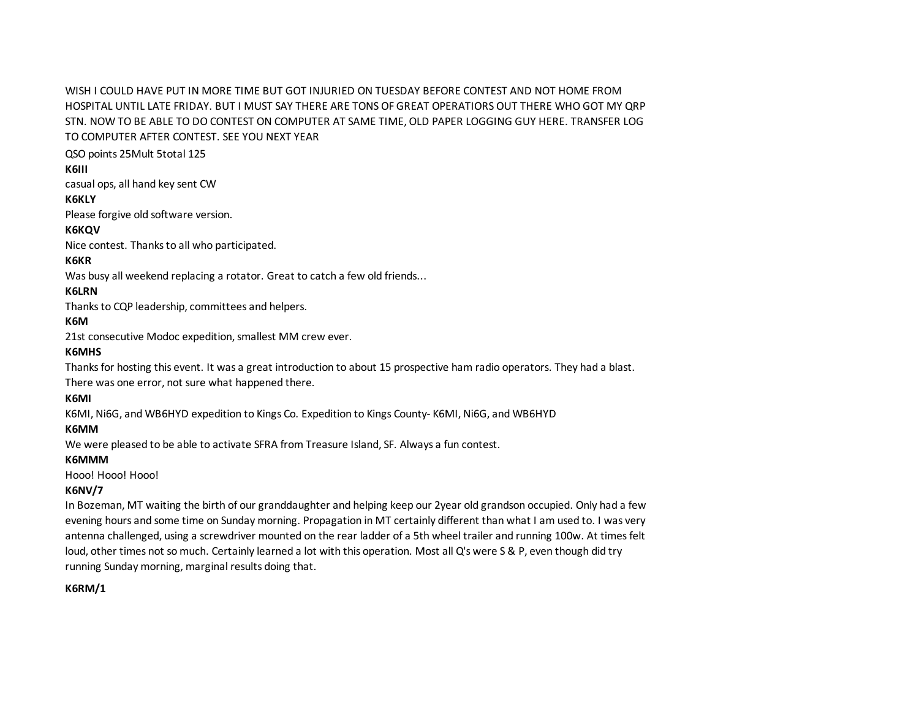WISH I COULD HAVE PUT IN MORE TIME BUT GOT INJURIED ON TUESDAY BEFORE CONTEST AND NOT HOME FROM HOSPITAL UNTIL LATE FRIDAY. BUT I MUST SAY THERE ARE TONS OF GREAT OPERATIORS OUT THERE WHO GOT MY QRP STN. NOW TO BE ABLE TO DO CONTEST ON COMPUTER AT SAME TIME, OLD PAPER LOGGING GUY HERE. TRANSFER LOG TO COMPUTER AFTER CONTEST. SEE YOU NEXT YEAR

QSO points 25Mult 5total 125

#### **K6III**

casual ops, all hand key sent CW

#### **K6KLY**

Please forgive old software version.

#### **K6KQV**

Nice contest. Thanks to all who participated.

#### **K6KR**

Was busy all weekend replacing a rotator. Great to catch a few old friends...

## **K6LRN**

Thanks to CQP leadership, committees and helpers.

## **K6M**

21st consecutive Modoc expedition, smallest MM crew ever.

## **K6MHS**

Thanks for hosting this event. It was a great introduction to about 15 prospective ham radio operators. They had a blast.

There was one error, not sure what happened there.

#### **K6MI**

K6MI, Ni6G, and WB6HYD expedition to Kings Co. Expedition to Kings County- K6MI, Ni6G, and WB6HYD

#### **K6MM**

We were pleased to be able to activate SFRA from Treasure Island, SF. Always a fun contest.

#### **K6MMM**

Hooo! Hooo! Hooo!

## **K6NV/7**

In Bozeman, MT waiting the birth of our granddaughter and helping keep our 2year old grandson occupied. Only had a few evening hours and some time on Sunday morning. Propagation in MT certainly different than what I am used to. I was very antenna challenged, using a screwdriver mounted on the rear ladder of a 5th wheel trailer and running 100w. At times felt loud, other times not so much. Certainly learned a lot with this operation. Most all Q's were S & P, even though did try running Sunday morning, marginal results doing that.

## **K6RM/1**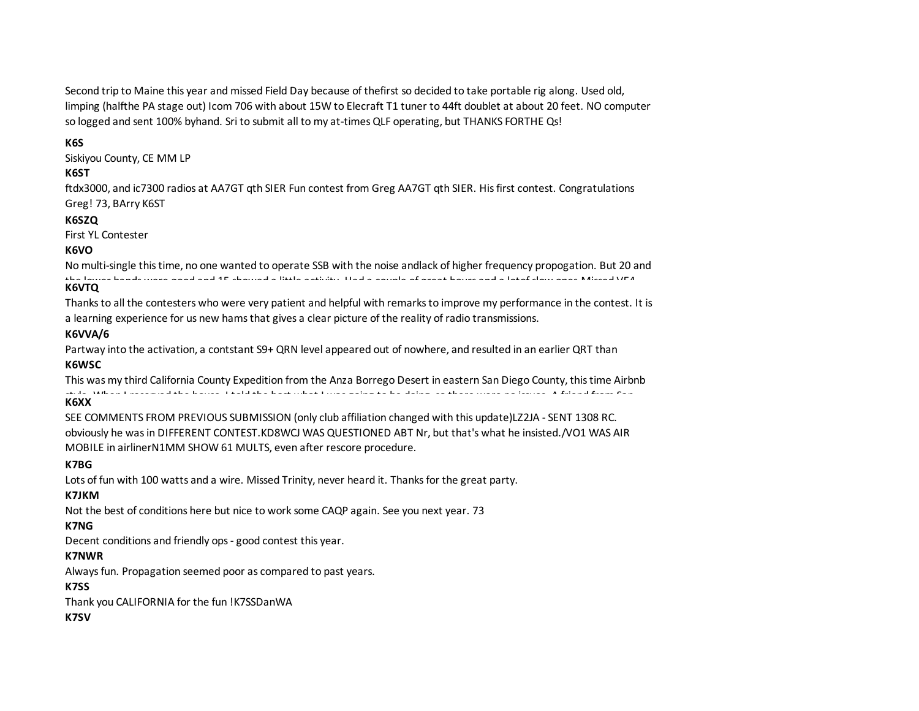Second trip to Maine this year and missed Field Day because of thefirst so decided to take portable rig along. Used old, limping (halfthe PA stage out) Icom 706 with about 15W to Elecraft T1 tuner to 44ft doublet at about 20 feet. NO computer so logged and sent 100% byhand. Sri to submit all to my at-times QLF operating, but THANKS FORTHE Qs!

## **K6S**

Siskiyou County, CE MM LP

#### **K6ST**

ftdx3000, and ic7300 radios at AA7GT qth SIER Fun contest from Greg AA7GT qth SIER. His first contest. Congratulations Greg! 73, BArry K6ST

#### **K6SZQ**

First YL Contester

## **K6VO**

No multi-single this time, no one wanted to operate SSB with the noise andlack of higher frequency propogation. But 20 and the lower bands were good and 15 showed a little activity. Had a couple of great hours and a lotof slow ones.Missed VE4, **K6VTQ**

Thanks to all the contesters who were very patient and helpful with remarks to improve my performance in the contest. It is a learning experience for us new hams that gives a clear picture of the reality of radio transmissions.

## **K6VVA/6**

Partway into the activation, a contstant S9+ QRN level appeared out of nowhere, and resulted in an earlier QRT than **K6WSC**

This was my third California County Expedition from the Anza Borrego Desert in eastern San Diego County, this time Airbnb style. When I reserved the house, I told the host what I was going to be doing, so there were no issues. A friend from San **K6XX**

SEE COMMENTS FROM PREVIOUS SUBMISSION (only club affiliation changed with this update)LZ2JA - SENT 1308 RC. obviously he was in DIFFERENT CONTEST.KD8WCJ WAS QUESTIONED ABT Nr, but that's what he insisted./VO1 WAS AIR MOBILE in airlinerN1MM SHOW 61 MULTS, even after rescore procedure.

#### **K7BG**

Lots of fun with 100 watts and a wire. Missed Trinity, never heard it. Thanks for the great party.

#### **K7JKM**

Not the best of conditions here but nice to work some CAQP again. See you next year. 73

## **K7NG**

Decent conditions and friendly ops - good contest this year.

## **K7NWR**

Always fun. Propagation seemed poor as compared to past years.

## **K7SS**

Thank you CALIFORNIA for the fun !K7SSDanWA

**K7SV**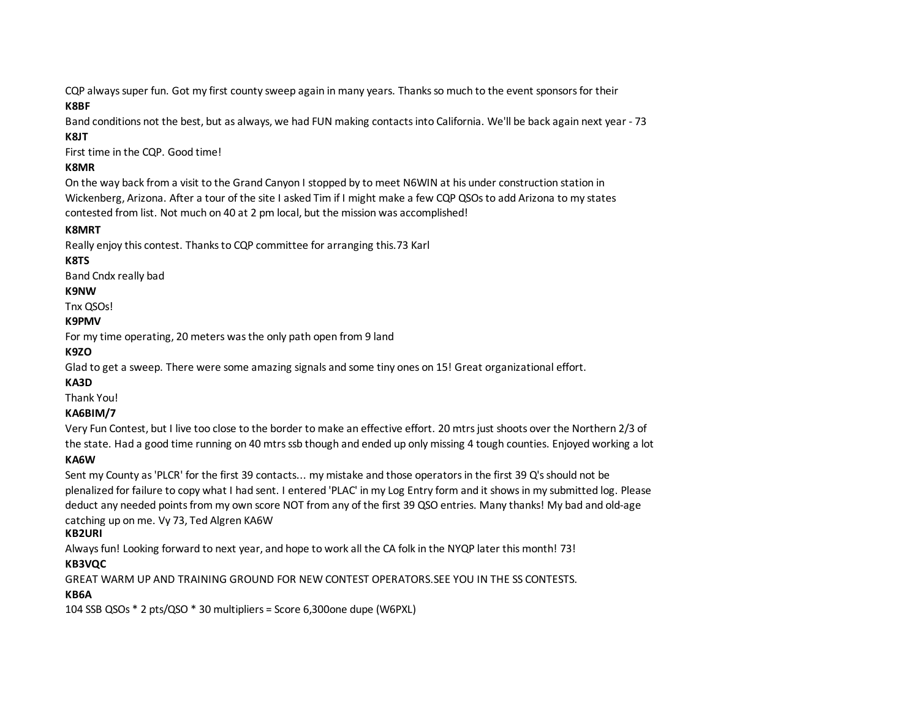CQP always super fun. Got my first county sweep again in many years. Thanks so much to the event sponsors for their

## **K8BF**

Band conditions not the best, but as always, we had FUN making contacts into California. We'll be back again next year - 73

## **K8JT**

First time in the CQP. Good time!

## **K8MR**

On the way back from a visit to the Grand Canyon I stopped by to meet N6WIN at his under construction station in Wickenberg, Arizona. After a tour of the site I asked Tim if I might make a few CQP QSOs to add Arizona to my states contested from list. Not much on 40 at 2 pm local, but the mission was accomplished!

## **K8MRT**

Really enjoy this contest. Thanks to CQP committee for arranging this.73 Karl

# **K8TS**

Band Cndx really bad

## **K9NW**

Tnx QSOs!

## **K9PMV**

For my time operating, 20 meters was the only path open from 9 land

## **K9ZO**

Glad to get a sweep. There were some amazing signals and some tiny ones on 15! Great organizational effort.

## **KA3D**

Thank You!

# **KA6BIM/7**

Very Fun Contest, but I live too close to the border to make an effective effort. 20 mtrs just shoots over the Northern 2/3 of the state. Had a good time running on 40 mtrs ssb though and ended up only missing 4 tough counties. Enjoyed working a lot

# of new operators! **KA6W**

Sent my County as 'PLCR' for the first 39 contacts... my mistake and those operators in the first 39 Q's should not be plenalized for failure to copy what I had sent. I entered 'PLAC' in my Log Entry form and it shows in my submitted log. Please deduct any needed points from my own score NOT from any of the first 39 QSO entries. Many thanks! My bad and old-age catching up on me. Vy 73, Ted Algren KA6W

## **KB2URI**

Always fun! Looking forward to next year, and hope to work all the CA folk in the NYQP later this month! 73!

# **KB3VQC**

GREAT WARM UP AND TRAINING GROUND FOR NEW CONTEST OPERATORS.SEE YOU IN THE SS CONTESTS.

# **KB6A**

104 SSB QSOs \* 2 pts/QSO \* 30 multipliers = Score 6,300one dupe (W6PXL)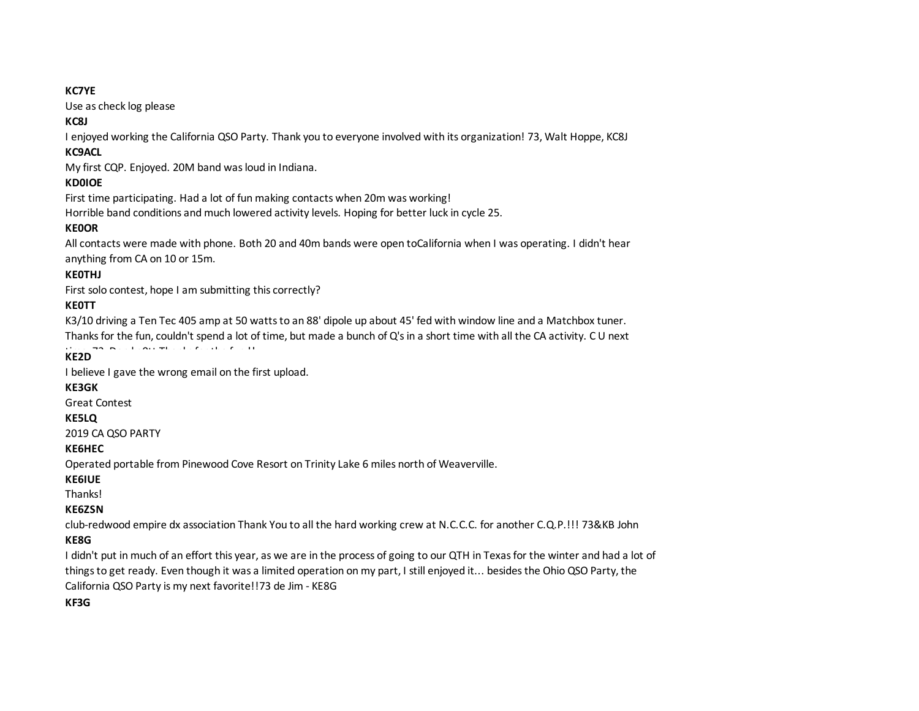#### **KC7YE**

Use as check log please

## **KC8J**

I enjoyed working the California QSO Party. Thank you to everyone involved with its organization! 73, Walt Hoppe, KC8J

## **KC9ACL**

My first CQP. Enjoyed. 20M band was loud in Indiana.

# **KD0IOE**

First time participating. Had a lot of fun making contacts when 20m was working! Horrible band conditions and much lowered activity levels. Hoping for better luck in cycle 25.

# **KE0OR**

All contacts were made with phone. Both 20 and 40m bands were open toCalifornia when I was operating. I didn't hear anything from CA on 10 or 15m.

# **KE0THJ**

First solo contest, hope I am submitting this correctly?

# **KE0TT**

K3/10 driving a Ten Tec 405 amp at 50 watts to an 88' dipole up about 45' fed with window line and a Matchbox tuner. Thanks for the fun, couldn't spend a lot of time, but made a bunch of Q's in a short time with all the CA activity. C U next

time, 73, Dan ke0tt Thanks for the fun !! **KE2D**

I believe I gave the wrong email on the first upload.

## **KE3GK**

Great Contest

## **KE5LQ**

2019 CA QSO PARTY

## **KE6HEC**

Operated portable from Pinewood Cove Resort on Trinity Lake 6 miles north of Weaverville.

## **KE6IUE**

**Thanksl** 

## **KE6ZSN**

club-redwood empire dx association Thank You to all the hard working crew at N.C.C.C. for another C.Q.P.!!! 73&KB John

# **KE8G**

I didn't put in much of an effort this year, as we are in the process of going to our QTH in Texas for the winter and had a lot of things to get ready. Even though it was a limited operation on my part, I still enjoyed it... besides the Ohio QSO Party, the California QSO Party is my next favorite!!73 de Jim - KE8G

**KF3G**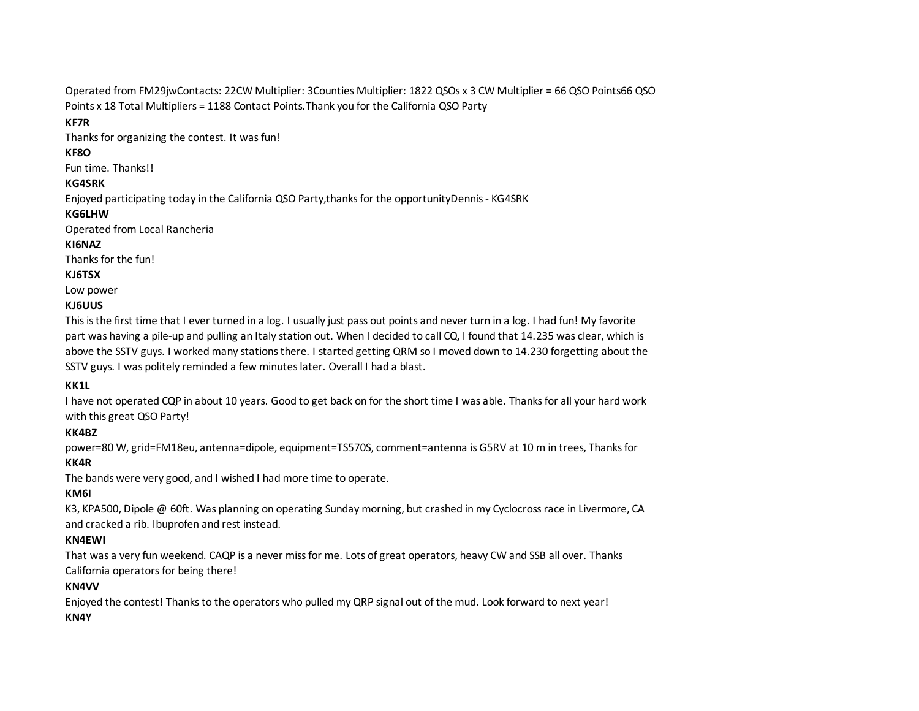Operated from FM29jwContacts: 22CW Multiplier: 3Counties Multiplier: 1822 QSOs x 3 CW Multiplier = 66 QSO Points66 QSO Points x 18 Total Multipliers = 1188 Contact Points.Thank you for the California QSO Party

## **KF7R**

Thanks for organizing the contest. It was fun!

## **KF8O**

Fun time. Thanks!!

## **KG4SRK**

Enjoyed participating today in the California QSO Party,thanks for the opportunityDennis - KG4SRK

## **KG6LHW**

Operated from Local Rancheria

## **KI6NAZ**

Thanks for the fun!

## **KJ6TSX**

Low power

# **KJ6UUS**

This is the first time that I ever turned in a log. I usually just pass out points and never turn in a log. I had fun! My favorite part was having a pile-up and pulling an Italy station out. When I decided to call CQ, I found that 14.235 was clear, which is above the SSTV guys. I worked many stations there. I started getting QRM so I moved down to 14.230 forgetting about the SSTV guys. I was politely reminded a few minutes later. Overall I had a blast.

# **KK1L**

I have not operated CQP in about 10 years. Good to get back on for the short time I was able. Thanks for all your hard work with this great QSO Party!

# **KK4BZ**

power=80 W, grid=FM18eu, antenna=dipole, equipment=TS570S, comment=antenna is G5RV at 10 m in trees, Thanks for **KK4R**

The bands were very good, and I wished I had more time to operate.

# **KM6I**

K3, KPA500, Dipole @ 60ft. Was planning on operating Sunday morning, but crashed in my Cyclocross race in Livermore, CA and cracked a rib. Ibuprofen and rest instead.

# **KN4EWI**

That was a very fun weekend. CAQP is a never miss for me. Lots of great operators, heavy CW and SSB all over. Thanks California operators for being there!

## **KN4VV**

Enjoyed the contest! Thanks to the operators who pulled my QRP signal out of the mud. Look forward to next year! **KN4Y**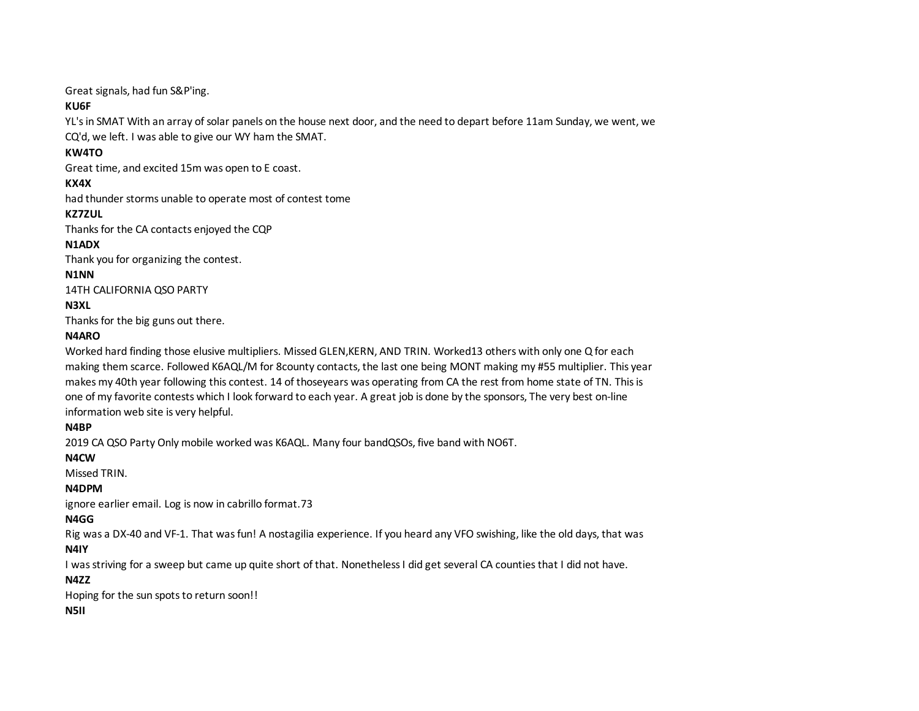Great signals, had fun S&P'ing.

## **KU6F**

YL's in SMAT With an array of solar panels on the house next door, and the need to depart before 11am Sunday, we went, we CQ'd, we left. I was able to give our WY ham the SMAT.

## **KW4TO**

Great time, and excited 15m was open to E coast.

## **KX4X**

had thunder storms unable to operate most of contest tome

## **KZ7ZUL**

Thanks for the CA contacts enjoyed the CQP

## **N1ADX**

Thank you for organizing the contest.

## **N1NN**

14TH CALIFORNIA QSO PARTY

# **N3XL**

Thanks for the big guns out there.

## **N4ARO**

Worked hard finding those elusive multipliers. Missed GLEN,KERN, AND TRIN. Worked13 others with only one Q for each making them scarce. Followed K6AQL/M for 8county contacts, the last one being MONT making my #55 multiplier. This year makes my 40th year following this contest. 14 of thoseyears was operating from CA the rest from home state of TN. This is one of my favorite contests which I look forward to each year. A great job is done by the sponsors, The very best on-line information web site is very helpful.

# **N4BP**

2019 CA QSO Party Only mobile worked was K6AQL. Many four bandQSOs, five band with NO6T.

# **N4CW**

Missed TRIN.

# **N4DPM**

ignore earlier email. Log is now in cabrillo format.73

# **N4GG**

Rig was a DX-40 and VF-1. That was fun! A nostagilia experience. If you heard any VFO swishing, like the old days, that was

# **N4IY**

I was striving for a sweep but came up quite short of that. Nonetheless I did get several CA counties that I did not have.

# **N4ZZ**

Hoping for the sun spots to return soon!!

## **N5II**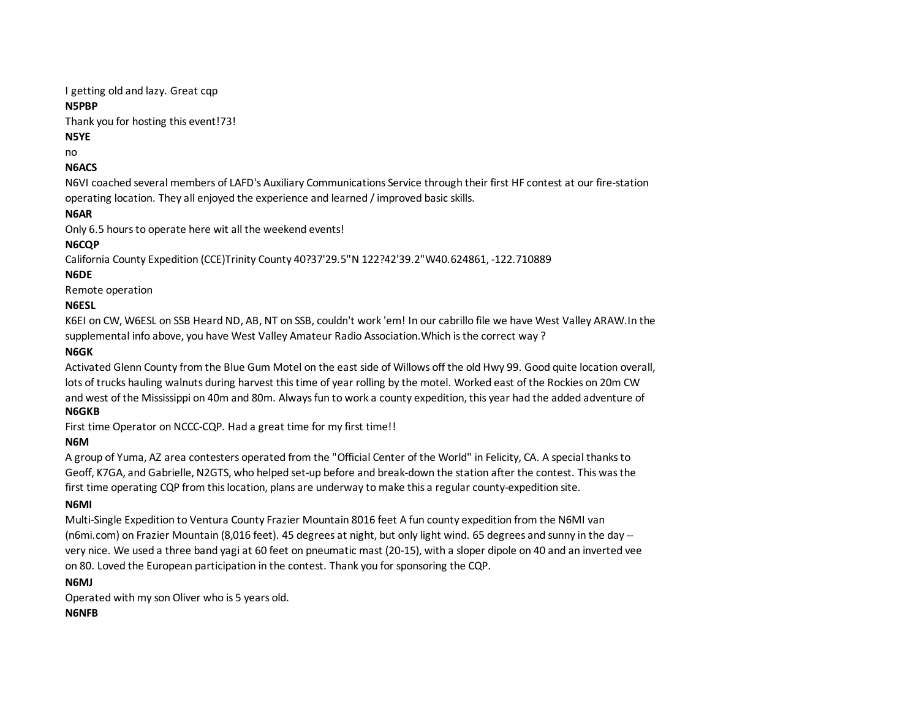I getting old and lazy. Great cqp

## **N5PBP**

Thank you for hosting this event!73!

# **N5YE**

no

# **N6ACS**

N6VI coached several members of LAFD's Auxiliary Communications Service through their first HF contest at our fire-station operating location. They all enjoyed the experience and learned / improved basic skills.

# **N6AR**

Only 6.5 hours to operate here wit all the weekend events!

# **N6CQP**

California County Expedition (CCE)Trinity County 40?37'29.5"N 122?42'39.2"W40.624861, -122.710889

# **N6DE**

Remote operation

# **N6ESL**

K6EI on CW, W6ESL on SSB Heard ND, AB, NT on SSB, couldn't work 'em! In our cabrillo file we have West Valley ARAW.In the supplemental info above, you have West Valley Amateur Radio Association.Which is the correct way ?

# **N6GK**

Activated Glenn County from the Blue Gum Motel on the east side of Willows off the old Hwy 99. Good quite location overall, lots of trucks hauling walnuts during harvest this time of year rolling by the motel. Worked east of the Rockies on 20m CW and west of the Mississippi on 40m and 80m. Always fun to work a county expedition, this year had the added adventure of

# **N6GKB**

First time Operator on NCCC-CQP. Had a great time for my first time!!

# **N6M**

A group of Yuma, AZ area contesters operated from the "Official Center of the World" in Felicity, CA. A special thanks to Geoff, K7GA, and Gabrielle, N2GTS, who helped set-up before and break-down the station after the contest. This was the first time operating CQP from this location, plans are underway to make this a regular county-expedition site.

# **N6MI**

Multi-Single Expedition to Ventura County Frazier Mountain 8016 feet A fun county expedition from the N6MI van (n6mi.com) on Frazier Mountain (8,016 feet). 45 degrees at night, but only light wind. 65 degrees and sunny in the day - very nice. We used a three band yagi at 60 feet on pneumatic mast (20-15), with a sloper dipole on 40 and an inverted vee on 80. Loved the European participation in the contest. Thank you for sponsoring the CQP.

## **N6MJ**

Operated with my son Oliver who is 5 years old.

## **N6NFB**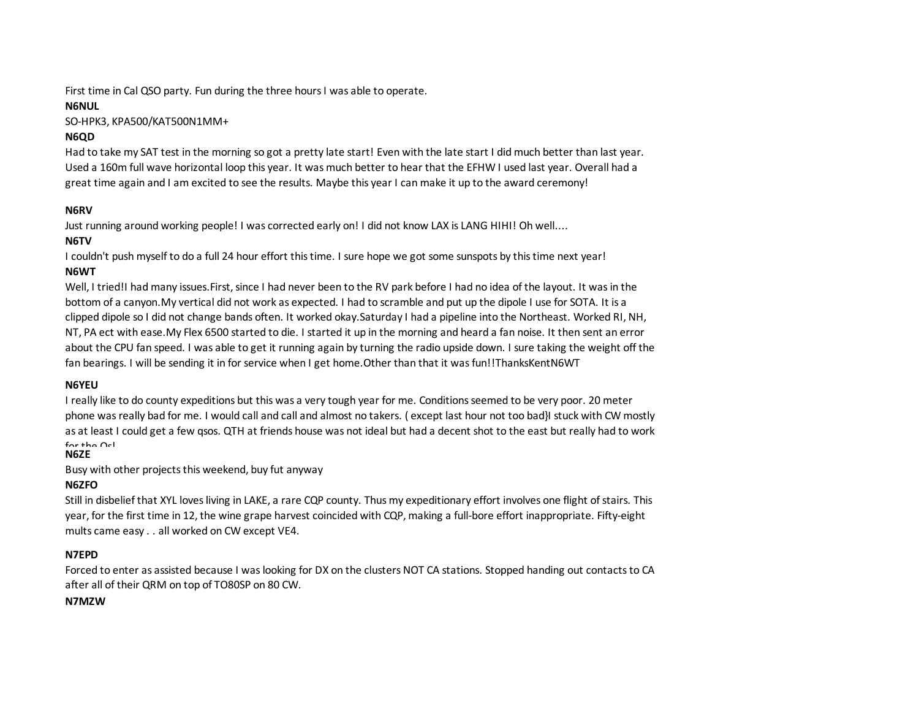First time in Cal QSO party. Fun during the three hours I was able to operate.

## **N6NUL**

SO-HPK3, KPA500/KAT500N1MM+

# **N6QD**

Had to take my SAT test in the morning so got a pretty late start! Even with the late start I did much better than last year. Used a 160m full wave horizontal loop this year. It was much better to hear that the EFHW I used last year. Overall had a great time again and I am excited to see the results. Maybe this year I can make it up to the award ceremony!

## **N6RV**

Just running around working people! I was corrected early on! I did not know LAX is LANG HIHI! Oh well....

## **N6TV**

I couldn't push myself to do a full 24 hour effort this time. I sure hope we got some sunspots by this time next year! **N6WT**

Well, I tried!I had many issues. First, since I had never been to the RV park before I had no idea of the layout. It was in the bottom of a canyon.My vertical did not work as expected. I had to scramble and put up the dipole I use for SOTA. It is a clipped dipole so I did not change bands often. It worked okay.Saturday I had a pipeline into the Northeast. Worked RI, NH, NT, PA ect with ease.My Flex 6500 started to die. I started it up in the morning and heard a fan noise. It then sent an error about the CPU fan speed. I was able to get it running again by turning the radio upside down. I sure taking the weight off the fan bearings. I will be sending it in for service when I get home.Other than that it was fun!!ThanksKentN6WT

# **N6YEU**

I really like to do county expeditions but this was a very tough year for me. Conditions seemed to be very poor. 20 meter phone was really bad for me. I would call and call and almost no takers. ( except last hour not too bad}I stuck with CW mostly as at least I could get a few qsos. QTH at friends house was not ideal but had a decent shot to the east but really had to work  $for the  $Q_{\text{c}}$$ 

## **N6ZE**

Busy with other projects this weekend, buy fut anyway

# **N6ZFO**

Still in disbelief that XYL loves living in LAKE, a rare CQP county. Thus my expeditionary effort involves one flight of stairs. This year, for the first time in 12, the wine grape harvest coincided with CQP, making a full-bore effort inappropriate. Fifty-eight mults came easy . . all worked on CW except VE4.

## **N7EPD**

Forced to enter as assisted because I was looking for DX on the clusters NOT CA stations. Stopped handing out contacts to CA after all of their QRM on top of TO80SP on 80 CW.

## **N7MZW**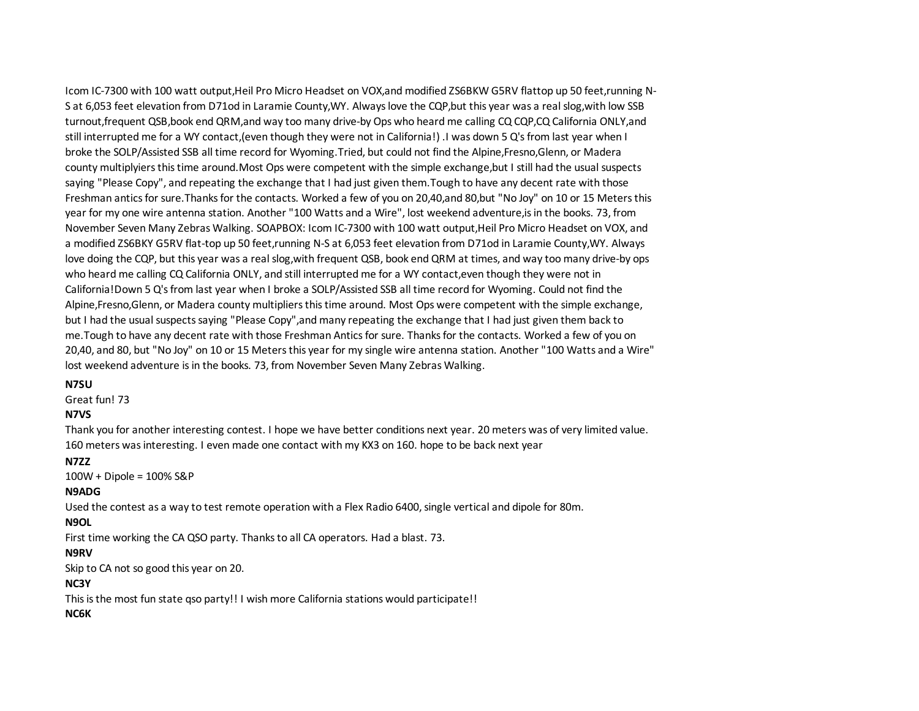Icom IC-7300 with 100 watt output,Heil Pro Micro Headset on VOX,and modified ZS6BKW G5RV flattop up 50 feet,running N-S at 6,053 feet elevation from D71od in Laramie County,WY. Always love the CQP,but this year was a real slog,with low SSB turnout,frequent QSB,book end QRM,and way too many drive-by Ops who heard me calling CQ CQP,CQ California ONLY,and still interrupted me for a WY contact,(even though they were not in California!) .I was down 5 Q's from last year when I broke the SOLP/Assisted SSB all time record for Wyoming.Tried, but could not find the Alpine,Fresno,Glenn, or Madera county multiplyiers this time around.Most Ops were competent with the simple exchange,but I still had the usual suspects saying "Please Copy", and repeating the exchange that I had just given them.Tough to have any decent rate with those Freshman antics for sure.Thanks for the contacts. Worked a few of you on 20,40,and 80,but "No Joy" on 10 or 15 Meters this year for my one wire antenna station. Another "100 Watts and a Wire", lost weekend adventure,is in the books. 73, from November Seven Many Zebras Walking. SOAPBOX: Icom IC-7300 with 100 watt output,Heil Pro Micro Headset on VOX, and a modified ZS6BKY G5RV flat-top up 50 feet,running N-S at 6,053 feet elevation from D71od in Laramie County,WY. Always love doing the CQP, but this year was a real slog,with frequent QSB, book end QRM at times, and way too many drive-by ops who heard me calling CQ California ONLY, and still interrupted me for a WY contact,even though they were not in California!Down 5 Q's from last year when I broke a SOLP/Assisted SSB all time record for Wyoming. Could not find the Alpine,Fresno,Glenn, or Madera county multipliers this time around. Most Ops were competent with the simple exchange, but I had the usual suspects saying "Please Copy",and many repeating the exchange that I had just given them back to me.Tough to have any decent rate with those Freshman Antics for sure. Thanks for the contacts. Worked a few of you on 20,40, and 80, but "No Joy" on 10 or 15 Meters this year for my single wire antenna station. Another "100 Watts and a Wire" lost weekend adventure is in the books. 73, from November Seven Many Zebras Walking.

#### **N7SU**

Great fun! 73

#### **N7VS**

Thank you for another interesting contest. I hope we have better conditions next year. 20 meters was of very limited value. 160 meters was interesting. I even made one contact with my KX3 on 160. hope to be back next year

#### **N7ZZ**

100W + Dipole = 100% S&P

#### **N9ADG**

Used the contest as a way to test remote operation with a Flex Radio 6400, single vertical and dipole for 80m.

#### **N9OL**

First time working the CA QSO party. Thanks to all CA operators. Had a blast. 73.

#### **N9RV**

Skip to CA not so good this year on 20.

#### **NC3Y**

This is the most fun state qso party!! I wish more California stations would participate!!

#### **NC6K**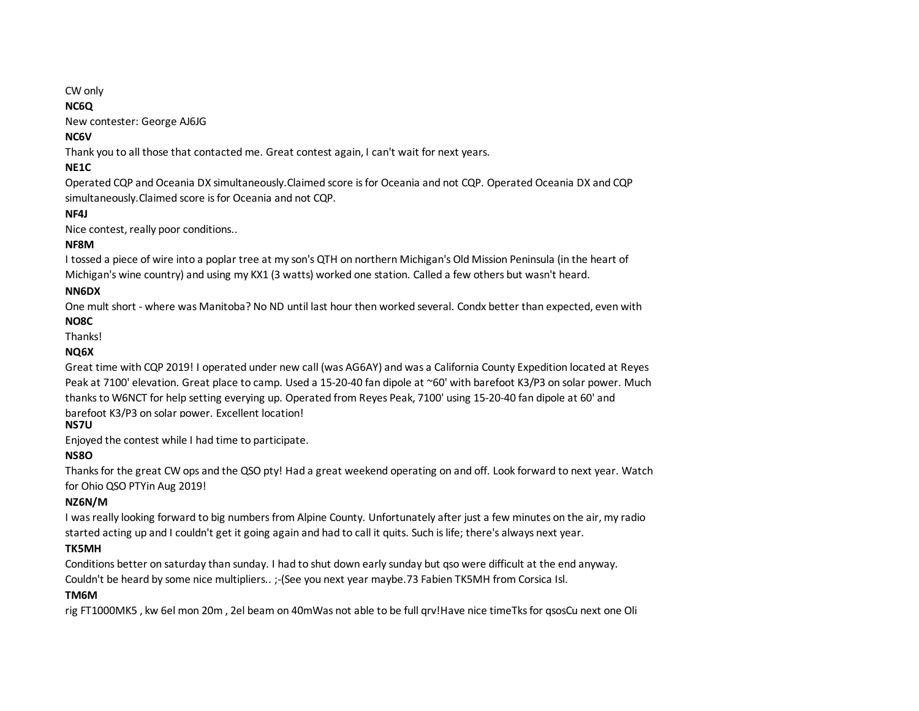#### CW only

## **NC6Q**

New contester: George AJ6JG

## **NC6V**

Thank you to all those that contacted me. Great contest again, I can't wait for next years.

## **NE1C**

Operated CQP and Oceania DX simultaneously.Claimed score is for Oceania and not CQP. Operated Oceania DX and CQP simultaneously.Claimed score is for Oceania and not CQP.

## **NF4J**

Nice contest, really poor conditions..

## **NF8M**

I tossed a piece of wire into a poplar tree at my son's QTH on northern Michigan's Old Mission Peninsula (in the heart of Michigan's wine country) and using my KX1 (3 watts) worked one station. Called a few others but wasn't heard.

## **NN6DX**

One mult short - where was Manitoba? No ND until last hour then worked several. Condx better than expected, even with

## **NO8C**

Thanks!

## **NQ6X**

Great time with CQP 2019! I operated under new call (was AG6AY) and was a California County Expedition located at Reyes Peak at 7100' elevation. Great place to camp. Used a 15-20-40 fan dipole at ~60' with barefoot K3/P3 on solar power. Much thanks to W6NCT for help setting everying up. Operated from Reyes Peak, 7100' using 15-20-40 fan dipole at 60' and barefoot K3/P3 on solar power. Excellent location!

# **NS7U**

Enjoyed the contest while I had time to participate.

# **NS8O**

Thanks for the great CW ops and the QSO pty! Had a great weekend operating on and off. Look forward to next year. Watch for Ohio QSO PTYin Aug 2019!

## **NZ6N/M**

I was really looking forward to big numbers from Alpine County. Unfortunately after just a few minutes on the air, my radio started acting up and I couldn't get it going again and had to call it quits. Such is life; there's always next year.

## **TK5MH**

Conditions better on saturday than sunday. I had to shut down early sunday but qso were difficult at the end anyway. Couldn't be heard by some nice multipliers.. ;-(See you next year maybe.73 Fabien TK5MH from Corsica Isl.

## **TM6M**

rig FT1000MK5 , kw 6el mon 20m , 2el beam on 40mWas not able to be full qrv!Have nice timeTks for qsosCu next one Oli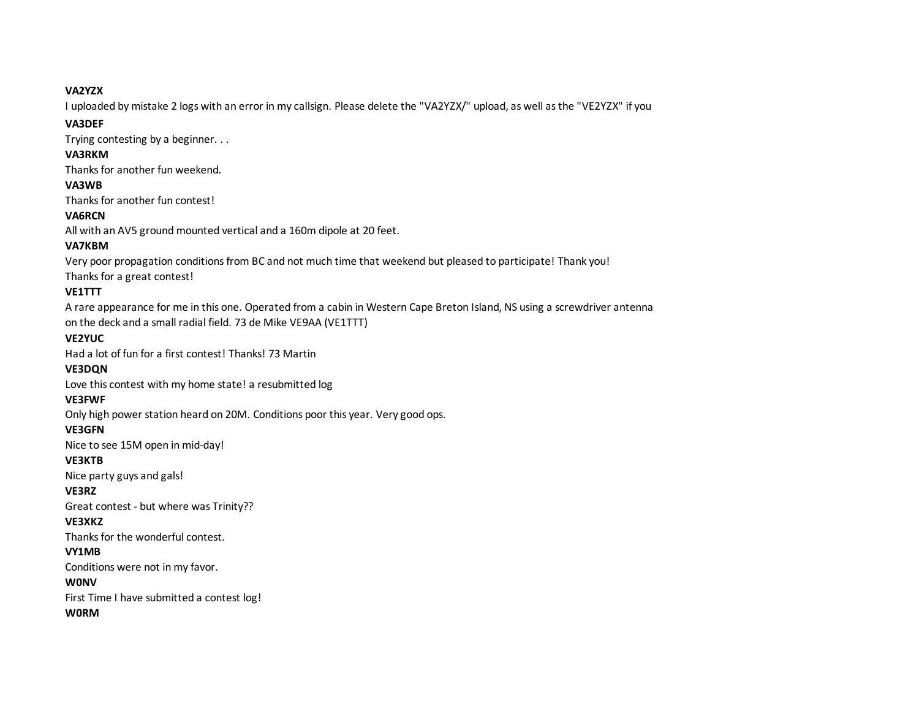#### **VA2YZX**

I uploaded by mistake 2 logs with an error in my callsign. Please delete the "VA2YZX/" upload, as well as the "VE2YZX" if you

## could. Thanks, **VA3DEF**

Trying contesting by a beginner. . .

## **VA3RKM**

Thanks for another fun weekend.

# **VA3WB**

Thanks for another fun contest!

# **VA6RCN**

All with an AV5 ground mounted vertical and a 160m dipole at 20 feet.

# **VA7KBM**

Very poor propagation conditions from BC and not much time that weekend but pleased to participate! Thank you! Thanks for a great contest!

# **VE1TTT**

A rare appearance for me in this one. Operated from a cabin in Western Cape Breton Island, NS using a screwdriver antenna on the deck and a small radial field. 73 de Mike VE9AA (VE1TTT)

# **VE2YUC**

Had a lot of fun for a first contest! Thanks! 73 Martin

# **VE3DQN**

Love this contest with my home state! a resubmitted log

# **VE3FWF**

Only high power station heard on 20M. Conditions poor this year. Very good ops.

# **VE3GFN**

Nice to see 15M open in mid-day!

## **VE3KTB**

Nice party guys and gals!

# **VE3RZ**

Great contest - but where was Trinity??

# **VE3XKZ**

Thanks for the wonderful contest.

# **VY1MB**

Conditions were not in my favor.

# **W0NV**

First Time I have submitted a contest log!

# **W0RM**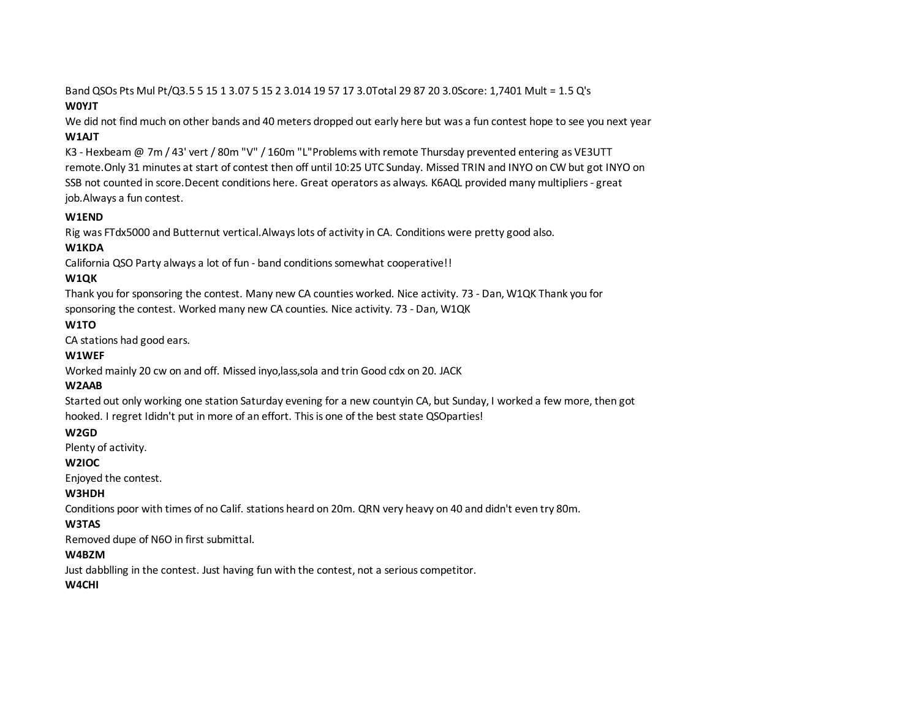Band QSOs Pts Mul Pt/Q3.5 5 15 1 3.07 5 15 2 3.014 19 57 17 3.0Total 29 87 20 3.0Score: 1,7401 Mult = 1.5 Q's

## **W0YJT**

We did not find much on other bands and 40 meters dropped out early here but was a fun contest hope to see you next year **W1AJT**

K3 - Hexbeam @ 7m / 43' vert / 80m "V" / 160m "L"Problems with remote Thursday prevented entering as VE3UTT remote.Only 31 minutes at start of contest then off until 10:25 UTC Sunday. Missed TRIN and INYO on CW but got INYO on SSB not counted in score.Decent conditions here. Great operators as always. K6AQL provided many multipliers - great job.Always a fun contest.

# **W1END**

Rig was FTdx5000 and Butternut vertical.Always lots of activity in CA. Conditions were pretty good also.

# **W1KDA**

California QSO Party always a lot of fun - band conditions somewhat cooperative!!

# **W1QK**

Thank you for sponsoring the contest. Many new CA counties worked. Nice activity. 73 - Dan, W1QK Thank you for sponsoring the contest. Worked many new CA counties. Nice activity. 73 - Dan, W1QK

# **W1TO**

CA stations had good ears.

## **W1WEF**

Worked mainly 20 cw on and off. Missed inyo,lass,sola and trin Good cdx on 20. JACK

# **W2AAB**

Started out only working one station Saturday evening for a new countyin CA, but Sunday, I worked a few more, then got hooked. I regret Ididn't put in more of an effort. This is one of the best state QSOparties!

## **W2GD**

Plenty of activity.

## **W2IOC**

Enjoyed the contest.

## **W3HDH**

Conditions poor with times of no Calif. stations heard on 20m. QRN very heavy on 40 and didn't even try 80m.

## **W3TAS**

Removed dupe of N6O in first submittal.

## **W4BZM**

Just dabblling in the contest. Just having fun with the contest, not a serious competitor.

## **W4CHI**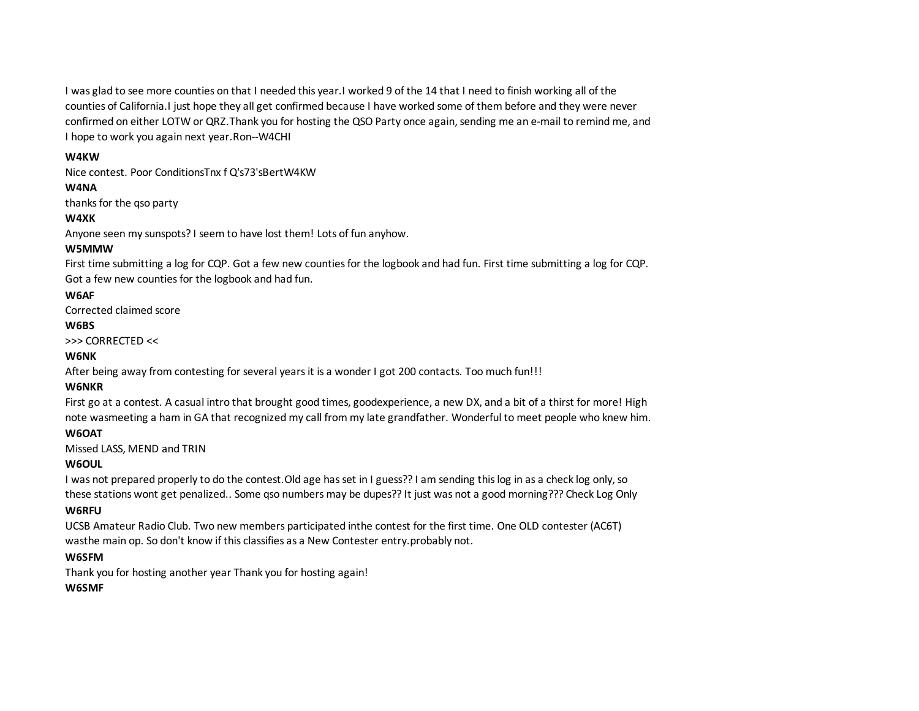I was glad to see more counties on that I needed this year.I worked 9 of the 14 that I need to finish working all of the counties of California.I just hope they all get confirmed because I have worked some of them before and they were never confirmed on either LOTW or QRZ.Thank you for hosting the QSO Party once again, sending me an e-mail to remind me, and I hope to work you again next year.Ron--W4CHI

#### **W4KW**

Nice contest. Poor ConditionsTnx f Q's73'sBertW4KW

## **W4NA**

thanks for the qso party

## **W4XK**

Anyone seen my sunspots? I seem to have lost them! Lots of fun anyhow.

## **W5MMW**

First time submitting a log for CQP. Got a few new counties for the logbook and had fun. First time submitting a log for CQP. Got a few new counties for the logbook and had fun.

## **W6AF**

Corrected claimed score

## **W6BS**

>>> CORRECTED <<

## **W6NK**

After being away from contesting for several years it is a wonder I got 200 contacts. Too much fun!!!

## **W6NKR**

First go at a contest. A casual intro that brought good times, goodexperience, a new DX, and a bit of a thirst for more! High note wasmeeting a ham in GA that recognized my call from my late grandfather. Wonderful to meet people who knew him.

## Thanks CQP! **W6OAT**

Missed LASS, MEND and TRIN

## **W6OUL**

I was not prepared properly to do the contest.Old age has set in I guess?? I am sending this log in as a check log only, so these stations wont get penalized.. Some qso numbers may be dupes?? It just was not a good morning??? Check Log Only

## **W6RFU**

UCSB Amateur Radio Club. Two new members participated inthe contest for the first time. One OLD contester (AC6T) wasthe main op. So don't know if this classifies as a New Contester entry.probably not.

## **W6SFM**

Thank you for hosting another year Thank you for hosting again!

## **W6SMF**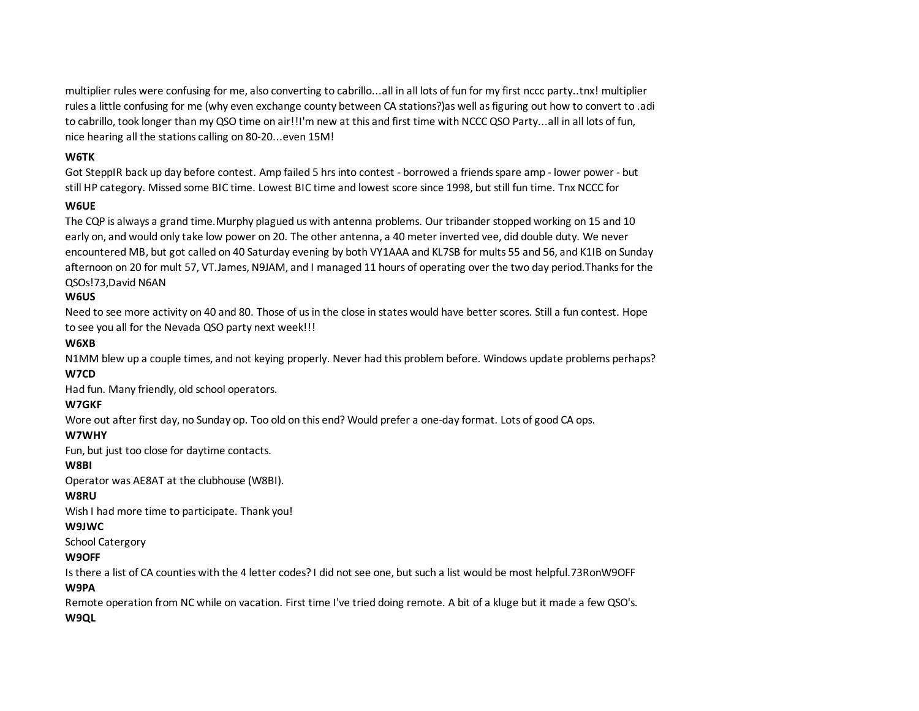multiplier rules were confusing for me, also converting to cabrillo...all in all lots of fun for my first nccc party..tnx! multiplier rules a little confusing for me (why even exchange county between CA stations?)as well as figuring out how to convert to .adi to cabrillo, took longer than my QSO time on air!!I'm new at this and first time with NCCC QSO Party...all in all lots of fun, nice hearing all the stations calling on 80-20...even 15M!

#### **W6TK**

Got SteppIR back up day before contest. Amp failed 5 hrs into contest - borrowed a friends spare amp - lower power - but still HP category. Missed some BIC time. Lowest BIC time and lowest score since 1998, but still fun time. Tnx NCCC for

## sponsoring this event!!!73,Dick - W6TK **W6UE**

The CQP is always a grand time.Murphy plagued us with antenna problems. Our tribander stopped working on 15 and 10 early on, and would only take low power on 20. The other antenna, a 40 meter inverted vee, did double duty. We never encountered MB, but got called on 40 Saturday evening by both VY1AAA and KL7SB for mults 55 and 56, and K1IB on Sunday afternoon on 20 for mult 57, VT.James, N9JAM, and I managed 11 hours of operating over the two day period.Thanks for the QSOs!73,David N6AN

## **W6US**

Need to see more activity on 40 and 80. Those of us in the close in states would have better scores. Still a fun contest. Hope to see you all for the Nevada QSO party next week!!!

#### **W6XB**

N1MM blew up a couple times, and not keying properly. Never had this problem before. Windows update problems perhaps? **W7CD**

Had fun. Many friendly, old school operators.

#### **W7GKF**

Wore out after first day, no Sunday op. Too old on this end? Would prefer a one-day format. Lots of good CA ops.

#### **W7WHY**

Fun, but just too close for daytime contacts.

#### **W8BI**

Operator was AE8AT at the clubhouse (W8BI).

#### **W8RU**

Wish I had more time to participate. Thank you!

#### **W9JWC**

School Catergory

## **W9OFF**

Is there a list of CA counties with the 4 letter codes? I did not see one, but such a list would be most helpful.73RonW9OFF

#### **W9PA**

Remote operation from NC while on vacation. First time I've tried doing remote. A bit of a kluge but it made a few QSO's. **W9QL**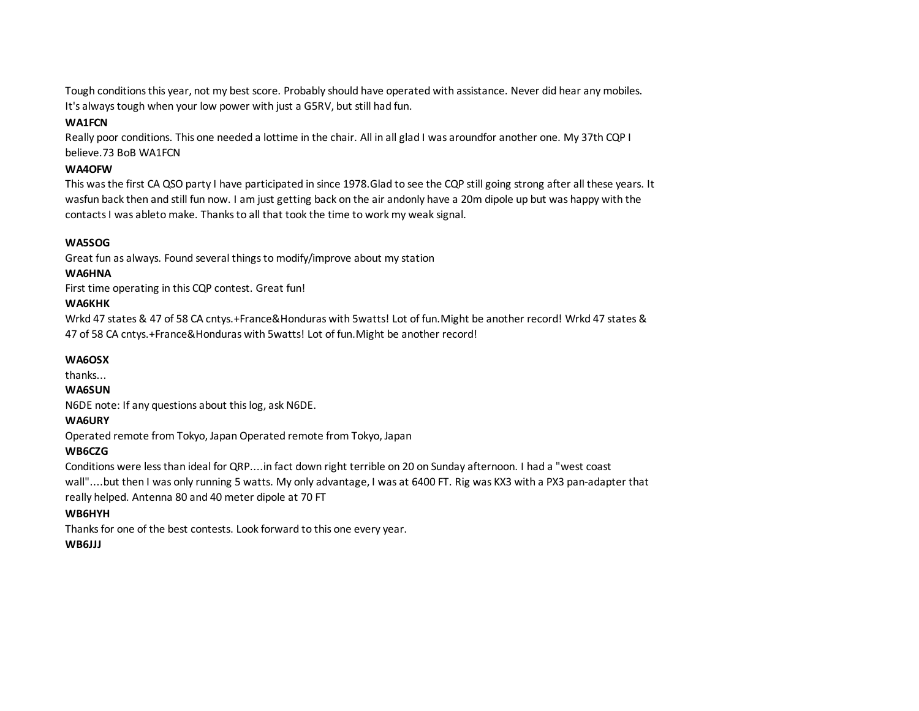Tough conditions this year, not my best score. Probably should have operated with assistance. Never did hear any mobiles. It's always tough when your low power with just a G5RV, but still had fun.

#### **WA1FCN**

Really poor conditions. This one needed a lottime in the chair. All in all glad I was aroundfor another one. My 37th CQP I believe.73 BoB WA1FCN

#### **WA4OFW**

This was the first CA QSO party I have participated in since 1978.Glad to see the CQP still going strong after all these years. It wasfun back then and still fun now. I am just getting back on the air andonly have a 20m dipole up but was happy with the contacts I was ableto make. Thanks to all that took the time to work my weak signal.

#### **WA5SOG**

Great fun as always. Found several things to modify/improve about my station

#### **WA6HNA**

First time operating in this CQP contest. Great fun!

#### **WA6KHK**

Wrkd 47 states & 47 of 58 CA cntys.+France&Honduras with 5watts! Lot of fun.Might be another record! Wrkd 47 states & 47 of 58 CA cntys.+France&Honduras with 5watts! Lot of fun.Might be another record!

#### **WA6OSX**

thanks...

## **WA6SUN**

N6DE note: If any questions about this log, ask N6DE.

#### **WA6URY**

Operated remote from Tokyo, Japan Operated remote from Tokyo, Japan

#### **WB6CZG**

Conditions were less than ideal for QRP....in fact down right terrible on 20 on Sunday afternoon. I had a "west coast wall"....but then I was only running 5 watts. My only advantage, I was at 6400 FT. Rig was KX3 with a PX3 pan-adapter that really helped. Antenna 80 and 40 meter dipole at 70 FT

#### **WB6HYH**

Thanks for one of the best contests. Look forward to this one every year.

#### **WB6JJJ**